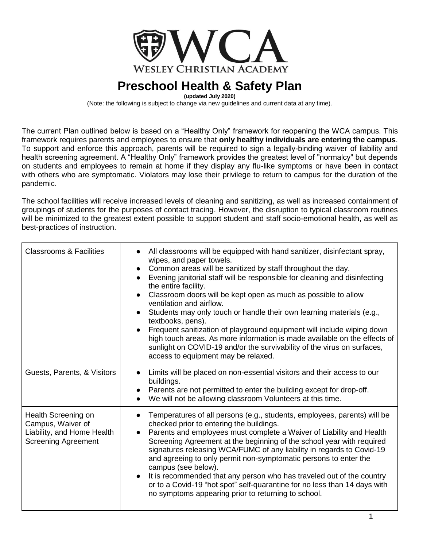

**(updated July 2020)**

(Note: the following is subject to change via new guidelines and current data at any time).

The current Plan outlined below is based on a "Healthy Only" framework for reopening the WCA campus. This framework requires parents and employees to ensure that **only healthy individuals are entering the campus**. To support and enforce this approach, parents will be required to sign a legally-binding waiver of liability and health screening agreement. A "Healthy Only" framework provides the greatest level of "normalcy" but depends on students and employees to remain at home if they display any flu-like symptoms or have been in contact with others who are symptomatic. Violators may lose their privilege to return to campus for the duration of the pandemic.

The school facilities will receive increased levels of cleaning and sanitizing, as well as increased containment of groupings of students for the purposes of contact tracing. However, the disruption to typical classroom routines will be minimized to the greatest extent possible to support student and staff socio-emotional health, as well as best-practices of instruction.

| <b>Classrooms &amp; Facilities</b>                                                                   | All classrooms will be equipped with hand sanitizer, disinfectant spray,<br>wipes, and paper towels.<br>Common areas will be sanitized by staff throughout the day.<br>Evening janitorial staff will be responsible for cleaning and disinfecting<br>the entire facility.<br>Classroom doors will be kept open as much as possible to allow<br>ventilation and airflow.<br>Students may only touch or handle their own learning materials (e.g.,<br>textbooks, pens).<br>Frequent sanitization of playground equipment will include wiping down<br>high touch areas. As more information is made available on the effects of<br>sunlight on COVID-19 and/or the survivability of the virus on surfaces,<br>access to equipment may be relaxed. |
|------------------------------------------------------------------------------------------------------|------------------------------------------------------------------------------------------------------------------------------------------------------------------------------------------------------------------------------------------------------------------------------------------------------------------------------------------------------------------------------------------------------------------------------------------------------------------------------------------------------------------------------------------------------------------------------------------------------------------------------------------------------------------------------------------------------------------------------------------------|
| Guests, Parents, & Visitors                                                                          | Limits will be placed on non-essential visitors and their access to our<br>buildings.<br>Parents are not permitted to enter the building except for drop-off.<br>We will not be allowing classroom Volunteers at this time.                                                                                                                                                                                                                                                                                                                                                                                                                                                                                                                    |
| Health Screening on<br>Campus, Waiver of<br>Liability, and Home Health<br><b>Screening Agreement</b> | Temperatures of all persons (e.g., students, employees, parents) will be<br>checked prior to entering the buildings.<br>Parents and employees must complete a Waiver of Liability and Health<br>Screening Agreement at the beginning of the school year with required<br>signatures releasing WCA/FUMC of any liability in regards to Covid-19<br>and agreeing to only permit non-symptomatic persons to enter the<br>campus (see below).<br>It is recommended that any person who has traveled out of the country<br>or to a Covid-19 "hot spot" self-quarantine for no less than 14 days with<br>no symptoms appearing prior to returning to school.                                                                                         |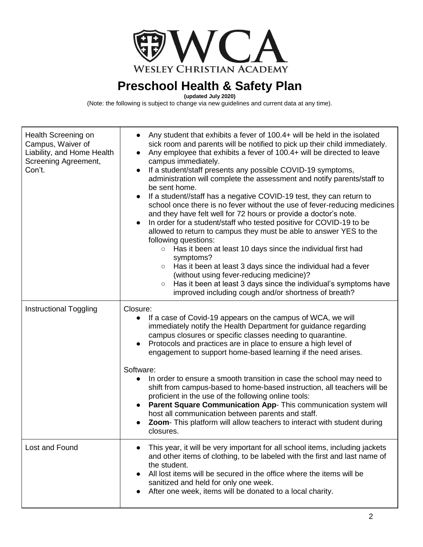

**(updated July 2020)**

(Note: the following is subject to change via new guidelines and current data at any time).

| Health Screening on<br>Campus, Waiver of<br>Liability, and Home Health<br>Screening Agreement,<br>Con't. | Any student that exhibits a fever of 100.4+ will be held in the isolated<br>sick room and parents will be notified to pick up their child immediately.<br>Any employee that exhibits a fever of 100.4+ will be directed to leave<br>$\bullet$<br>campus immediately.<br>If a student/staff presents any possible COVID-19 symptoms,<br>$\bullet$<br>administration will complete the assessment and notify parents/staff to<br>be sent home.<br>If a student//staff has a negative COVID-19 test, they can return to<br>school once there is no fever without the use of fever-reducing medicines<br>and they have felt well for 72 hours or provide a doctor's note.<br>In order for a student/staff who tested positive for COVID-19 to be<br>$\bullet$<br>allowed to return to campus they must be able to answer YES to the<br>following questions:<br>○ Has it been at least 10 days since the individual first had<br>symptoms?<br>Has it been at least 3 days since the individual had a fever<br>$\circ$<br>(without using fever-reducing medicine)?<br>Has it been at least 3 days since the individual's symptoms have<br>$\circ$<br>improved including cough and/or shortness of breath? |
|----------------------------------------------------------------------------------------------------------|-----------------------------------------------------------------------------------------------------------------------------------------------------------------------------------------------------------------------------------------------------------------------------------------------------------------------------------------------------------------------------------------------------------------------------------------------------------------------------------------------------------------------------------------------------------------------------------------------------------------------------------------------------------------------------------------------------------------------------------------------------------------------------------------------------------------------------------------------------------------------------------------------------------------------------------------------------------------------------------------------------------------------------------------------------------------------------------------------------------------------------------------------------------------------------------------------------|
| <b>Instructional Toggling</b>                                                                            | Closure:<br>If a case of Covid-19 appears on the campus of WCA, we will<br>$\bullet$<br>immediately notify the Health Department for guidance regarding<br>campus closures or specific classes needing to quarantine.<br>Protocols and practices are in place to ensure a high level of<br>engagement to support home-based learning if the need arises.<br>Software:<br>In order to ensure a smooth transition in case the school may need to<br>$\bullet$<br>shift from campus-based to home-based instruction, all teachers will be<br>proficient in the use of the following online tools:<br><b>Parent Square Communication App- This communication system will</b><br>$\bullet$<br>host all communication between parents and staff.<br>Zoom- This platform will allow teachers to interact with student during<br>closures.                                                                                                                                                                                                                                                                                                                                                                  |
| Lost and Found                                                                                           | This year, it will be very important for all school items, including jackets<br>and other items of clothing, to be labeled with the first and last name of<br>the student.<br>All lost items will be secured in the office where the items will be<br>sanitized and held for only one week.<br>After one week, items will be donated to a local charity.                                                                                                                                                                                                                                                                                                                                                                                                                                                                                                                                                                                                                                                                                                                                                                                                                                            |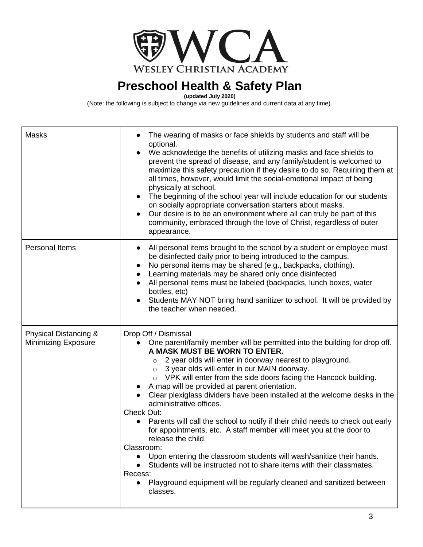

**(updated July 2020)**

(Note: the following is subject to change via new guidelines and current data at any time).

| <b>Masks</b>                                 | The wearing of masks or face shields by students and staff will be<br>optional.<br>We acknowledge the benefits of utilizing masks and face shields to<br>prevent the spread of disease, and any family/student is welcomed to<br>maximize this safety precaution if they desire to do so. Requiring them at<br>all times, however, would limit the social-emotional impact of being<br>physically at school.<br>• The beginning of the school year will include education for our students<br>on socially appropriate conversation starters about masks.<br>Our desire is to be an environment where all can truly be part of this<br>community, embraced through the love of Christ, regardless of outer<br>appearance.                                                                                                                                                                                                                                             |
|----------------------------------------------|----------------------------------------------------------------------------------------------------------------------------------------------------------------------------------------------------------------------------------------------------------------------------------------------------------------------------------------------------------------------------------------------------------------------------------------------------------------------------------------------------------------------------------------------------------------------------------------------------------------------------------------------------------------------------------------------------------------------------------------------------------------------------------------------------------------------------------------------------------------------------------------------------------------------------------------------------------------------|
| Personal Items                               | All personal items brought to the school by a student or employee must<br>be disinfected daily prior to being introduced to the campus.<br>No personal items may be shared (e.g., backpacks, clothing).<br>$\bullet$<br>Learning materials may be shared only once disinfected<br>All personal items must be labeled (backpacks, lunch boxes, water<br>$\bullet$<br>bottles, etc)<br>Students MAY NOT bring hand sanitizer to school. It will be provided by<br>the teacher when needed.                                                                                                                                                                                                                                                                                                                                                                                                                                                                             |
| Physical Distancing &<br>Minimizing Exposure | Drop Off / Dismissal<br>One parent/family member will be permitted into the building for drop off.<br>A MASK MUST BE WORN TO ENTER.<br>2 year olds will enter in doorway nearest to playground.<br>$\circ$<br>$\circ$ 3 year olds will enter in our MAIN doorway.<br>VPK will enter from the side doors facing the Hancock building.<br>A map will be provided at parent orientation.<br>Clear plexiglass dividers have been installed at the welcome desks in the<br>administrative offices.<br>Check Out:<br>Parents will call the school to notify if their child needs to check out early<br>for appointments, etc. A staff member will meet you at the door to<br>release the child.<br>Classroom:<br>Upon entering the classroom students will wash/sanitize their hands.<br>$\bullet$<br>Students will be instructed not to share items with their classmates.<br>Recess:<br>Playground equipment will be regularly cleaned and sanitized between<br>classes. |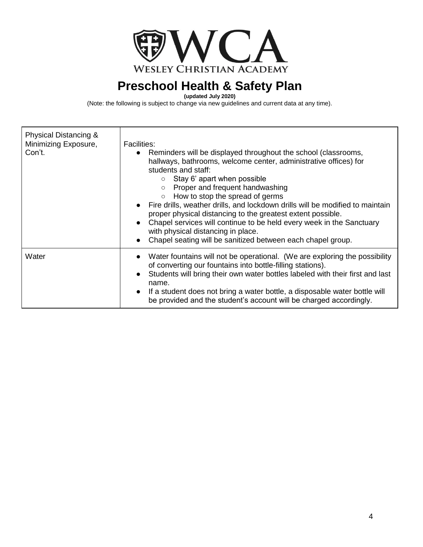

**(updated July 2020)**

(Note: the following is subject to change via new guidelines and current data at any time).

| Physical Distancing &<br>Minimizing Exposure,<br>Con't. | <b>Facilities:</b><br>• Reminders will be displayed throughout the school (classrooms,<br>hallways, bathrooms, welcome center, administrative offices) for<br>students and staff:<br>Stay 6' apart when possible<br>$\circ$<br>Proper and frequent handwashing<br>$\circ$<br>How to stop the spread of germs<br>• Fire drills, weather drills, and lockdown drills will be modified to maintain<br>proper physical distancing to the greatest extent possible.<br>Chapel services will continue to be held every week in the Sanctuary<br>with physical distancing in place.<br>Chapel seating will be sanitized between each chapel group. |
|---------------------------------------------------------|---------------------------------------------------------------------------------------------------------------------------------------------------------------------------------------------------------------------------------------------------------------------------------------------------------------------------------------------------------------------------------------------------------------------------------------------------------------------------------------------------------------------------------------------------------------------------------------------------------------------------------------------|
| Water                                                   | Water fountains will not be operational. (We are exploring the possibility<br>of converting our fountains into bottle-filling stations).<br>Students will bring their own water bottles labeled with their first and last<br>name.<br>• If a student does not bring a water bottle, a disposable water bottle will<br>be provided and the student's account will be charged accordingly.                                                                                                                                                                                                                                                    |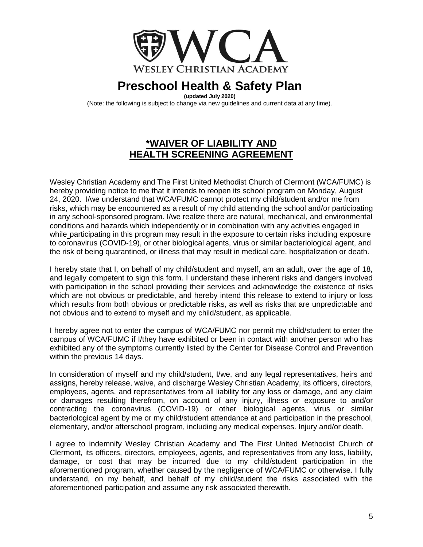

**(updated July 2020)**

(Note: the following is subject to change via new guidelines and current data at any time).

#### **\*WAIVER OF LIABILITY AND HEALTH SCREENING AGREEMENT**

Wesley Christian Academy and The First United Methodist Church of Clermont (WCA/FUMC) is hereby providing notice to me that it intends to reopen its school program on Monday, August 24, 2020. I/we understand that WCA/FUMC cannot protect my child/student and/or me from risks, which may be encountered as a result of my child attending the school and/or participating in any school-sponsored program. I/we realize there are natural, mechanical, and environmental conditions and hazards which independently or in combination with any activities engaged in while participating in this program may result in the exposure to certain risks including exposure to coronavirus (COVID-19), or other biological agents, virus or similar bacteriological agent, and the risk of being quarantined, or illness that may result in medical care, hospitalization or death.

I hereby state that I, on behalf of my child/student and myself, am an adult, over the age of 18, and legally competent to sign this form. I understand these inherent risks and dangers involved with participation in the school providing their services and acknowledge the existence of risks which are not obvious or predictable, and hereby intend this release to extend to injury or loss which results from both obvious or predictable risks, as well as risks that are unpredictable and not obvious and to extend to myself and my child/student, as applicable.

I hereby agree not to enter the campus of WCA/FUMC nor permit my child/student to enter the campus of WCA/FUMC if I/they have exhibited or been in contact with another person who has exhibited any of the symptoms currently listed by the Center for Disease Control and Prevention within the previous 14 days.

In consideration of myself and my child/student, I/we, and any legal representatives, heirs and assigns, hereby release, waive, and discharge Wesley Christian Academy, its officers, directors, employees, agents, and representatives from all liability for any loss or damage, and any claim or damages resulting therefrom, on account of any injury, illness or exposure to and/or contracting the coronavirus (COVID-19) or other biological agents, virus or similar bacteriological agent by me or my child/student attendance at and participation in the preschool, elementary, and/or afterschool program, including any medical expenses. Injury and/or death.

I agree to indemnify Wesley Christian Academy and The First United Methodist Church of Clermont, its officers, directors, employees, agents, and representatives from any loss, liability, damage, or cost that may be incurred due to my child/student participation in the aforementioned program, whether caused by the negligence of WCA/FUMC or otherwise. I fully understand, on my behalf, and behalf of my child/student the risks associated with the aforementioned participation and assume any risk associated therewith.